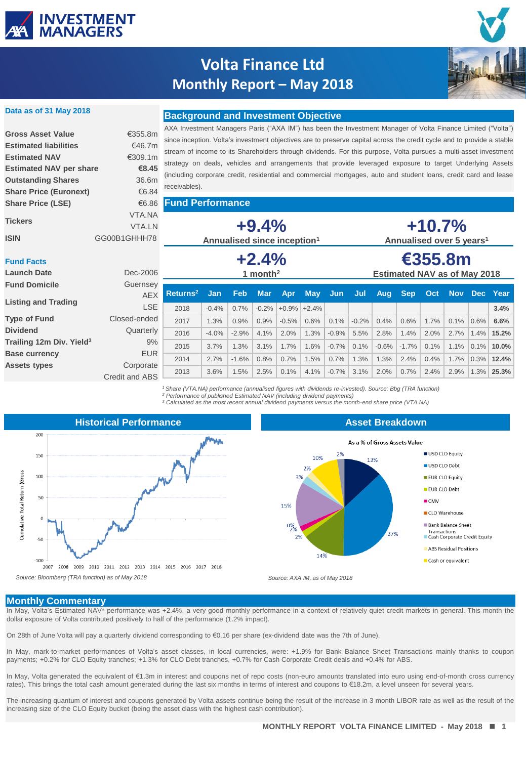

# **Volta Finance Ltd Monthly Report – May 2018**



### **Data as of 31 May 2018**

**Share Price (Euronext)** €6.84 **Share Price (LSE)** €6.86

## **Background and Investment Objective Gross Asset Value** €355.8m **Estimated liabilities** €46.7m **Estimated NAV** €309.1m

AXA Investment Managers Paris ("AXA IM") has been the Investment Manager of Volta Finance Limited ("Volta") since inception. Volta's investment objectives are to preserve capital across the credit cycle and to provide a stable stream of income to its Shareholders through dividends. For this purpose, Volta pursues a multi-asset investment strategy on deals, vehicles and arrangements that provide leveraged exposure to target Underlying Assets (including corporate credit, residential and commercial mortgages, auto and student loans, credit card and lease receivables). **Estimated NAV per share €8.45 Outstanding Shares** 36.6m

**Fund Performance**

| <b>Tickers</b><br><b>ISIN</b>           | VTA.NA<br><b>VTA.LN</b><br>GG00B1GHHH78 | $+9.4%$<br>Annualised since inception <sup>1</sup> |                       |                    |                        |                |                                                | $+10.7%$<br>Annualised over 5 years <sup>1</sup> |         |         |            |      |      |         |              |
|-----------------------------------------|-----------------------------------------|----------------------------------------------------|-----------------------|--------------------|------------------------|----------------|------------------------------------------------|--------------------------------------------------|---------|---------|------------|------|------|---------|--------------|
| <b>Fund Facts</b><br><b>Launch Date</b> | Dec-2006                                | $+2.4%$<br>1 month <sup>2</sup>                    |                       |                    |                        |                | €355.8m<br><b>Estimated NAV as of May 2018</b> |                                                  |         |         |            |      |      |         |              |
| <b>Fund Domicile</b>                    | Guernsey                                |                                                    |                       |                    |                        |                |                                                |                                                  |         |         |            |      |      |         |              |
| <b>Listing and Trading</b>              | <b>AEX</b><br><b>LSE</b>                | Returns <sup>2</sup><br>2018                       | <b>Jan</b><br>$-0.4%$ | <b>Feb</b><br>0.7% | <b>Mar</b><br>$-0.2\%$ | Apr<br>$+0.9%$ | <b>May</b><br>$+2.4%$                          | Jun                                              | Jul     | Aug     | <b>Sep</b> | Oct  |      | Nov Dec | Year<br>3.4% |
| <b>Type of Fund</b>                     | Closed-ended                            | 2017                                               | 1.3%                  | 0.9%               | 0.9%                   | $-0.5%$        | 0.6%                                           | $0.1\%$                                          | $-0.2%$ | 0.4%    | 0.6%       | 1.7% | 0.1% | 0.6%    | 6.6%         |
| <b>Dividend</b>                         | Quarterly                               | 2016                                               | $-4.0%$               | $-2.9%$            | 4.1%                   | 2.0%           | 1.3%                                           | $-0.9%$                                          | 5.5%    | 2.8%    | 1.4%       | 2.0% | 2.7% | 1.4%    | 15.2%        |
| Trailing 12m Div. Yield <sup>3</sup>    | 9%                                      | 2015                                               | 3.7%                  | 1.3%               | 3.1%                   | 1.7%           | 1.6%                                           | $-0.7%$                                          | 0.1%    | $-0.6%$ | $-1.7%$    | 0.1% | 1.1% | 0.1%    | 10.0%        |
| <b>Base currency</b>                    | <b>EUR</b>                              | 2014                                               | 2.7%                  | $-1.6%$            | 0.8%                   | 0.7%           | 1.5%                                           | 0.7%                                             | 1.3%    | 1.3%    | 2.4%       | 0.4% | 1.7% | 0.3%    | 12.4%        |
| Assets types                            | Corporate                               |                                                    |                       |                    |                        |                |                                                |                                                  |         |         |            |      |      |         |              |
|                                         | Credit and ABS                          | 2013                                               | 3.6%                  | 1.5%               | 2.5%                   | 0.1%           | 4.1%                                           | $-0.7%$                                          | 3.1%    | 2.0%    | 0.7%       | 2.4% | 2.9% | 1.3%    | 25.3%        |

*<sup>1</sup> Share (VTA.NA) performance (annualised figures with dividends re-invested). Source: Bbg (TRA function) <sup>2</sup> Performance of published Estimated NAV (including dividend payments)*

*<sup>3</sup> Calculated as the most recent annual dividend payments versus the month-end share price (VTA.NA)*





### **Monthly Commentary**

In May, Volta's Estimated NAV\* performance was +2.4%, a very good monthly performance in a context of relatively quiet credit markets in general. This month the dollar exposure of Volta contributed positively to half of the performance (1.2% impact).

On 28th of June Volta will pay a quarterly dividend corresponding to €0.16 per share (ex-dividend date was the 7th of June).

In May, mark-to-market performances of Volta's asset classes, in local currencies, were: +1.9% for Bank Balance Sheet Transactions mainly thanks to coupon payments; +0.2% for CLO Equity tranches; +1.3% for CLO Debt tranches, +0.7% for Cash Corporate Credit deals and +0.4% for ABS.

In May, Volta generated the equivalent of €1.3m in interest and coupons net of repo costs (non-euro amounts translated into euro using end-of-month cross currency rates). This brings the total cash amount generated during the last six months in terms of interest and coupons to €18.2m, a level unseen for several years.

The increasing quantum of interest and coupons generated by Volta assets continue being the result of the increase in 3 month LIBOR rate as well as the result of the increasing size of the CLO Equity bucket (being the asset class with the highest cash contribution).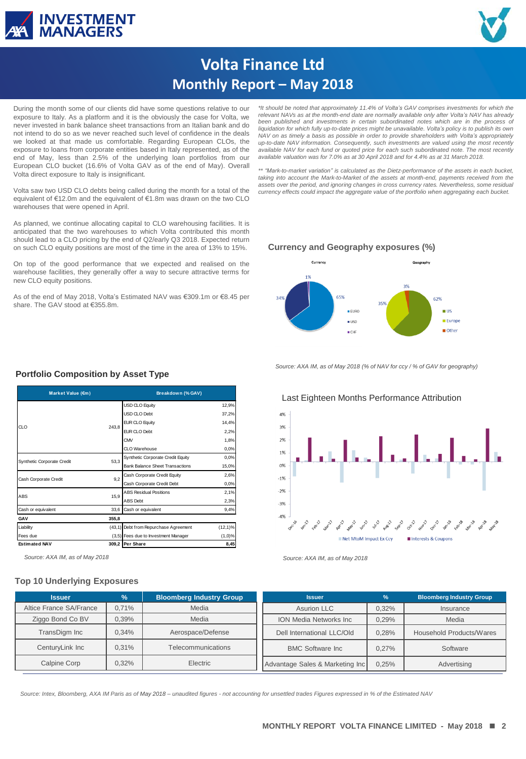



# **Volta Finance Ltd Monthly Report – May 2018**

During the month some of our clients did have some questions relative to our exposure to Italy. As a platform and it is the obviously the case for Volta, we never invested in bank balance sheet transactions from an Italian bank and do not intend to do so as we never reached such level of confidence in the deals we looked at that made us comfortable. Regarding European CLOs, the exposure to loans from corporate entities based in Italy represented, as of the end of May, less than 2.5% of the underlying loan portfolios from our European CLO bucket (16.6% of Volta GAV as of the end of May). Overall Volta direct exposure to Italy is insignificant.

Volta saw two USD CLO debts being called during the month for a total of the equivalent of €12.0m and the equivalent of €1.8m was drawn on the two CLO warehouses that were opened in April.

As planned, we continue allocating capital to CLO warehousing facilities. It is anticipated that the two warehouses to which Volta contributed this month should lead to a CLO pricing by the end of Q2/early Q3 2018. Expected return on such CLO equity positions are most of the time in the area of 13% to 15%.

On top of the good performance that we expected and realised on the warehouse facilities, they generally offer a way to secure attractive terms for new CLO equity positions.

As of the end of May 2018, Volta's Estimated NAV was €309.1m or €8.45 per share. The GAV stood at €355.8m.

\*It should be noted that approximately 11.4% of Volta's GAV comprises investments for which the<br>relevant NAVs as at the month-end date are normally available only after Volta's NAV has already *been published and investments in certain subordinated notes which are in the process of liquidation for which fully up-to-date prices might be unavailable. Volta's policy is to publish its own NAV on as timely a basis as possible in order to provide shareholders with Volta's appropriately* up-to-date NAV information. Consequently, such investments are valued using the most recently<br>available NAV for each fund or quoted price for each such subordinated note. The most recently *available valuation was for 7.0% as at 30 April 2018 and for 4.4% as at 31 March 2018.*

*\*\* "Mark-to-market variation" is calculated as the Dietz-performance of the assets in each bucket,* taking into account the Mark-to-Market of the assets at month-end, payments received from the<br>assets over the period, and ignoring changes in cross currency rates. Nevertheless, some residual *currency effects could impact the aggregate value of the portfolio when aggregating each bucket.*

#### **Currency and Geography exposures (%)**



*Source: AXA IM, as of May 2018 (% of NAV for ccy / % of GAV for geography)*



## **Portfolio Composition by Asset Type**

| Market Value (€m)          |       | Breakdown (% GAV)                      |            |  |  |  |
|----------------------------|-------|----------------------------------------|------------|--|--|--|
|                            |       | <b>USD CLO Equity</b>                  | 12,9%      |  |  |  |
|                            |       | USD CLO Debt                           | 37,2%      |  |  |  |
| CI O                       | 243.8 | <b>EUR CLO Equity</b>                  | 14.4%      |  |  |  |
|                            |       | FUR CLO Debt                           | 2,2%       |  |  |  |
|                            |       | CMV                                    | 1,8%       |  |  |  |
|                            |       | CLO Warehouse                          | 0,0%       |  |  |  |
| Synthetic Corporate Credit | 53.3  | Synthetic Corporate Credit Equity      | 0,0%       |  |  |  |
|                            |       | <b>Bank Balance Sheet Transactions</b> | 15,0%      |  |  |  |
| Cash Corporate Credit      | 9,2   | Cash Corporate Credit Equity           | 2,6%       |  |  |  |
|                            |       | Cash Corporate Credit Debt             | 0.0%       |  |  |  |
| ABS                        |       | <b>ABS Residual Positions</b>          | 2,1%       |  |  |  |
|                            | 15,9  | <b>ABS</b> Debt                        | 2,3%       |  |  |  |
| Cash or equivalent         | 33.6  | Cash or equivalent                     | 9,4%       |  |  |  |
| GAV                        | 355,8 |                                        |            |  |  |  |
| Liability                  |       | (43,1) Debt from Repurchase Agreement  | $(12,1)\%$ |  |  |  |
| Fees due                   |       | (3,5) Fees due to Investment Manager   | $(1,0)\%$  |  |  |  |
| <b>Estimated NAV</b>       |       | 309,2 Per Share                        | 8,45       |  |  |  |

*Source: AXA IM, as of May 2018 Source: AXA IM, as of May 2018*

### **Top 10 Underlying Exposures**

| <b>Issuer</b>           | $\frac{9}{6}$ | <b>Bloomberg Industry Group</b> | <b>Issuer</b>                   | $\frac{9}{6}$ | <b>Bloomberg Industry Group</b> |  |  |
|-------------------------|---------------|---------------------------------|---------------------------------|---------------|---------------------------------|--|--|
| Altice France SA/France | 0.71%         | Media                           | Asurion LLC                     | 0,32%         | Insurance                       |  |  |
| Ziggo Bond Co BV        | 0.39%         | Media                           | <b>ION Media Networks Inc.</b>  | 0.29%         | Media                           |  |  |
| TransDigm Inc           | 0.34%         | Aerospace/Defense               | Dell International LLC/Old      | 0.28%         | Household Products/Wares        |  |  |
| CenturyLink Inc         | 0.31%         | Telecommunications              | <b>BMC Software Inc.</b>        | 0.27%         | Software                        |  |  |
| <b>Calpine Corp</b>     | 0.32%         | Electric                        | Advantage Sales & Marketing Inc | 0.25%         | Advertising                     |  |  |

**RESTRICTED** *Source: Intex, Bloomberg, AXA IM Paris as of May 2018 – unaudited figures - not accounting for unsettled trades Figures expressed in % of the Estimated NAV*